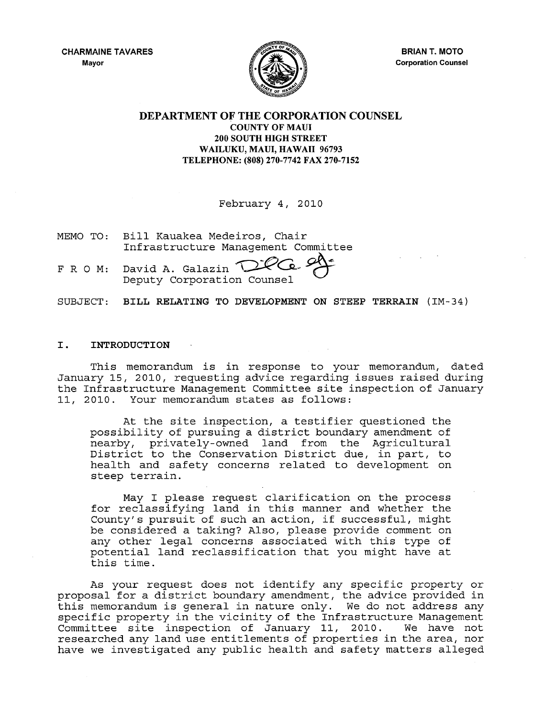CHARMAINE TAVARES Mayor



BRIAN T. MOTO Corporation Counsel

## DEPARTMENT OF THE CORPORATION COUNSEL COUNTY OF MAUl 200 SOUTH HIGH STREET WAILUKU, MAUl, HAWAII 96793 TELEPHONE: (808) 270-7742 FAX 270-7152

February 4, 2010

MEMO TO: Bill Kauakea Medeiros, Chair Infrastructure Management Committee

FRO M: David A. Deputy Corporation Galazin *~~~ C*o ed =

SUBJECT: BILL RELATING TO DEVELOPMENT ON STEEP TERRAIN (IM-34)

### I. INTRODUCTION

This memorandum is in response to your memorandum, dated January 15, 2010, requesting advice regarding issues raised during the Infrastructure Management Committee site inspection of January 11, 2010. Your memorandum states as follows:

At the site inspection, a testifier questioned the possibility of pursuing a district boundary amendment of nearby, privately-owned land from the Agricultural District to the Conservation District due, in part, to health and safety concerns related to development on steep terrain.

May I please request clarification on the process for reclassifying land in this manner and whether the County's pursuit of such an action, if successful, might be considered a taking? Also, please provide comment on any other legal concerns associated with this type of any other regar concerns assocrated wren this eype or this time.

As your request does not identify any specific property or proposal for a district boundary amendment, the advice provided in this memorandum is general in nature only. We do not address any specific property in the vicinity of the Infrastructure Management<br>Committee site inspection of January 11, 2010. We have not Committee site inspection of January 11, 2010. researched any land use entitlements of properties in the area, nor have we investigated any public health and safety matters alleged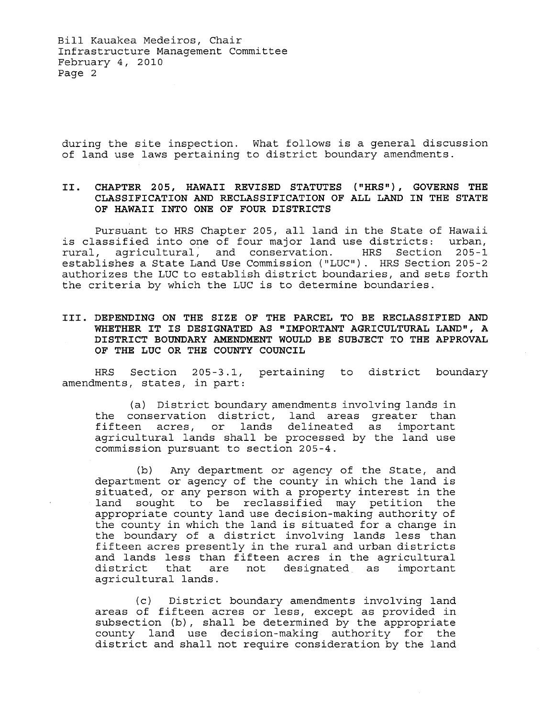Bill Kauakea Medeiros, Chair Infrastructure Management Committee February 4, 2010 Page 2

during the site inspection. What follows is a general discussion of land use laws pertaining to district boundary amendments.

## **II. CHAPTER 205, HAWAII REVISED STATUTES ("HRS"), GOVERNS THE CLASSIFICATION AND RECLASSIFICATION OF ALL LAND IN THE STATE OF HAWAII INTO ONE OF FOUR DISTRICTS**

Pursuant to HRS Chapter 205, all land in the State of Hawaii is classified into one of four major land use districts: urban, rural, agricultural; and conservation. HRS Section 205-1 establishes a State Land Use Commission ("LUC"). HRS Section 205-2 establishes a beace land ose commission ( loc ). This becefor 205 2 the criteria by which the LUC is to determine boundaries.

## **III. DEPENDING ON THE SIZE OF THE PARCEL TO BE RECLASSIFIED AND WHETHER IT IS DESIGNATED AS "IMPORTANT AGRICULTURAL LAND", A DISTRICT BOUNDARY AMENDMENT WOULD BE SUBJECT TO THE APPROVAL OF THE LUC OR THE COUNTY COUNCIL**

HRS Section 205-3.1, pertaining to district boundary amendments, states, in part:

(a) District boundary amendments involving lands in the conservation district, land areas greater than fifteen acres, or lands delineated as important agricultural lands shall be processed by the land use commission pursuant to section 205-4.

(b) Any department or agency of the State, and department or agency of the county in which the land is situated, or any person with a property interest in the land sought to be reclassified may petition the appropriate county land use decision-making authority of the county in which the land is situated for a change in the boundary of a district involving lands less than fifteen acres presently in the rural and urban districts and lands less than fifteen acres in the agricultural<br>district that are not designated as important are not designated as agricultural lands.

(c) District boundary amendments involving land areas of fifteen acres or less, except as provided in subsection (b), shall be determined by the appropriate county land use decision-making authority for the district and shall not require consideration by the land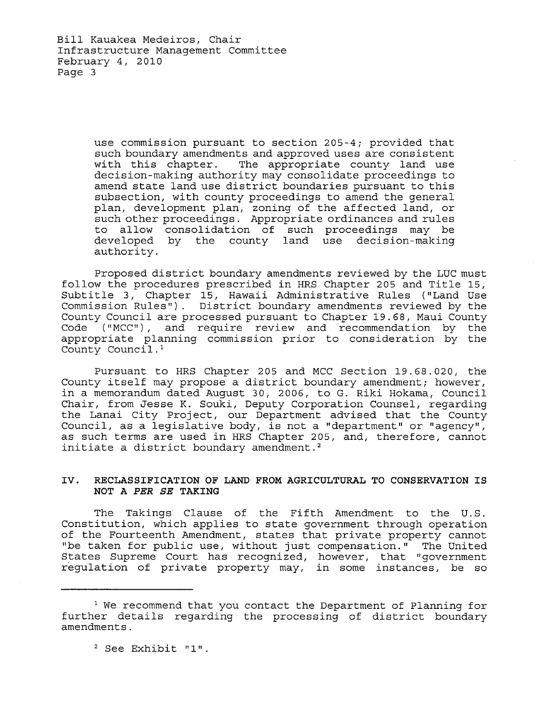use commission pursuant to section 205-4; provided that such boundary amendments and approved uses are consistent<br>with this chapter. The appropriate county land use The appropriate county land use decision-making authority may consolidate proceedings to amend state land use district boundaries pursuant to this subsection, with county proceedings to amend the general plan, development plan, zoning of the affected land, or such other proceedings. Appropriate ordinances and rules to allow consolidation of such proceedings may be developed by the county land use decision-making authority.

Proposed district boundary amendments reviewed by the LUC must follow the procedures prescribed in HRS Chapter 205 and Title 15, Subti tIe 3, Chapter 15, Hawaii Administrative Rules ("Land Use Commission Rules"). District boundary amendments reviewed by the County Council are processed pursuant to Chapter 19.68, Maui County Code ("MCC"), and require review and recommendation by the appropriate planning commission prior to consideration by the County Council. <sup>1</sup>

Pursuant to HRS Chapter 205 and MCC Section 19.68.020, the County itself may propose a district boundary amendment; however, in a memorandum dated August 30, 2006, to G. Riki Hokama, Council Chair, from Jesse K. Souki, Deputy Corporation Counsel, regarding the Lanai City Project, our Department advised that the County Council, as a legislative body, is not a "department" or "agency", as such terms are used in HRS Chapter 205, and, therefore, cannot initiate a district boundary amendment.<sup>2</sup>

## **IV. RECLASSIFICATION OF LAND FROM AGRICULTURAL TO CONSERVATION IS NOT A** *PER SE* **TAKING**

The Takings Clause of the Fifth Amendment to the U.S. Constitution, which applies to state government through operation of the Fourteenth Amendment, states that private property cannot "be taken for public use, without just compensation." The United States Supreme Court has recognized, however, that "government regulation of private property may, in some instances, be so

<sup>&</sup>lt;sup>1</sup> We recommend that you contact the Department of Planning for further details regarding the processing of district boundary amendments.

<sup>2</sup> See Exhibit "1".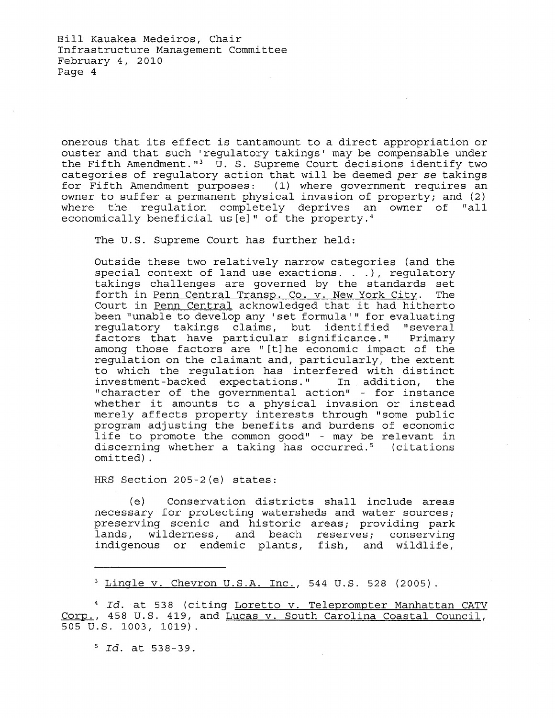onerous that its effect is tantamount to a direct appropriation or ouster and that such 'regulatory takings' may be compensable under the Fifth Amendment."<sup>3</sup> U. S. Supreme Court decisions identify two categories of regulatory action that will be deemed per se takings for Fifth Amendment purposes: (1) where government requires an owner to suffer a permanent physical invasion of property; and (2) where the regulation completely deprives an owner of "all economically beneficial us [e]" of the property.<sup>4</sup>

The U.S. Supreme Court has further held:

Outside these two relatively narrow categories (and the special context of land use exactions. . .), regulatory takings challenges are governed by the standards set forth in Penn Central Transp. Co. v. New York City. The Court in Penn Central acknowledged that it had hitherto been "unable to develop any 'set formula'" for evaluating regulatory takings claims, but identified "several factors that have particular significance." Primary among those factors are "[t] he economic impact of the regulation on the claimant and, particularly, the extent to which the regulation has interfered with distinct investment-backed expectations." In addition, the "character of the governmental action" - for instance whether it amounts to a physical invasion or instead merely affects property interests through "some public program adjusting the benefits and burdens of economic life to promote the common good" - may be relevant in discerning whether a taking has occurred.<sup>5</sup> (citations omitted) .

HRS Section *205-2(e)* states:

(e) Conservation districts shall include areas necessary for protecting watersheds and water sources; preserving scenic and historic areas; providing park lands, wilderness, and beach reserves; conserving indigenous or endemic plants, fish, and wildlife,

<sup>4</sup>*Id.* at 538 (citing Loretto v. Teleprompter Manhattan CATV Corp., 458 U.S. 419, and Lucas v. South Carolina Coastal Council, 505 U.S. 1003, 1019).

5 *Id.* at 538-39.

<sup>3</sup> Lingle v. Chevron U.S.A. Inc., 544 U.S. 528 (2005).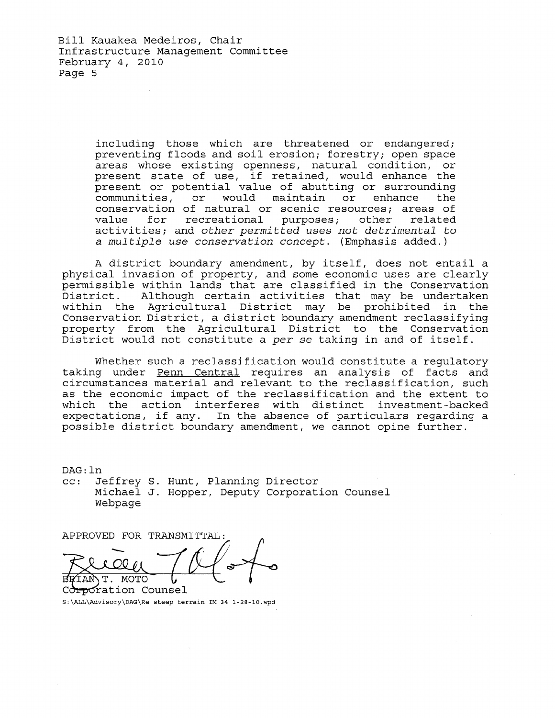Bill Kauakea Medeiros, Chair Infrastructure Management Committee February 4, 2010 Page 5

> including those which are threatened or endangered; preventing floods and soil erosion; forestry; open space areas whose existing openness, natural condition, or present state of use, if retained, would enhance the present or potential value of abutting or surrounding<br>communities, or would maintain or enhance the communities, or would maintain or enhance conservation of natural or scenic resources; areas of value for recreational purposes; other related activities; and *other permitted uses not detrimental* to a *multiple use conservation concept.* (Emphasis added.)

A district boundary amendment, by itself, does not entail a physical invasion of property, and some economic uses are clearly permissible within lands that are classified in the Conservation permissisie within fanas that are crassified in the conservation<br>District. Although certain activities that may be undertaken within the Agricultural District may be prohibited in the Conservation District, a district boundary amendment reclassifying property from the Agricultural District to the Conservation District would not constitute a *per* se taking in and of itself.

Whether such a reclassification would constitute a regulatory taking under Penn Central requires an analysis of facts and circumstances material and relevant to the reclassification, such as the economic impact of the reclassification and the extent to which the action interferes with distinct investment-backed expectations, if any. In the absence of particulars regarding a possible district boundary amendment, we cannot opine further.

DAG: ln cc: Jeffrey S. Hunt, Planning Director Michael J. Hopper, Deputy Corporation Counsel Webpage

APPROVED FOR TRANSMITTAL:

IANT. MOTO

Corporation Counsel S:\ALL\Advisory\DAG\Re steep terrain 1M 34 1-28-10.wpd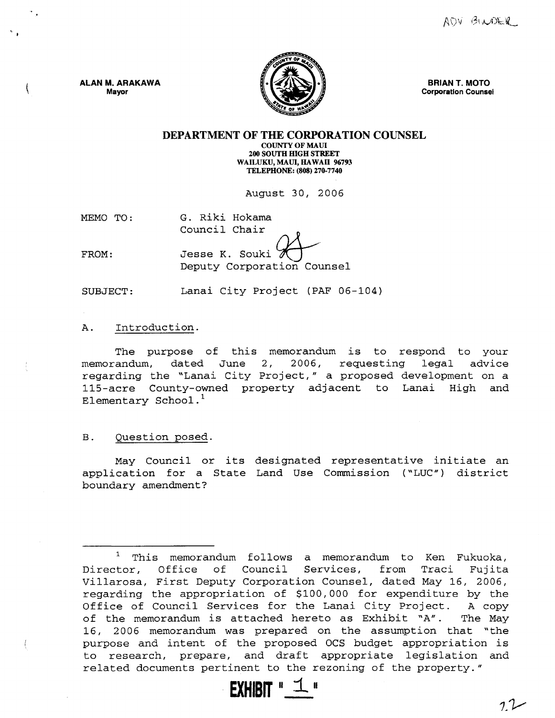

BRIAN T. MOTO Corporation Counsel

DEPARTMENT OF THE CORPORATION COUNSEL COUNTY OF MAUl

200 SOUTH HIGH STREET WAILUKU, MAUl, HAWAII 96793 TELEPHONE: (808) 270·7740

August 30, 2006

MEMO TO: G. Riki Hokama Council Chair

Jesse K. Souki

FROM:

ALAN M. ARAKAWA Mayor

Deputy Corporation Counsel

SUBJECT: Lanai City Project (PAF 06-104)

## A. Introduction.

The purpose of this memorandum is to respond to your memorandum, dated June 2, 2006, requesting legal advice regarding the "Lanai City Project," a proposed development on a 115-acre County-owned property adjacent to Lanai High and Elementary School. $<sup>1</sup>$ </sup>

B. Question posed.

May Councilor its designated representative initiate an application for a State Land Use Commission ("LUC") district boundary amendment?

 $1$  This memorandum follows a memorandum to Ken Fukuoka, Director, Office of Council Services, from Traci Fujita Villarosa, First Deputy Corporation Counsel, dated May 16, 2006, regarding the appropriation of \$100,000 for expenditure by the Office of Council Services for the Lanai City Project. A copy of the memorandum is attached hereto as Exhibit "A". The May 16, 2006 memorandum was prepared on the assumption that "the purpose and intent of the proposed OCS budget appropriation is to research, prepare, and draft appropriate legislation and related documents pertinent to the rezoning of the property."

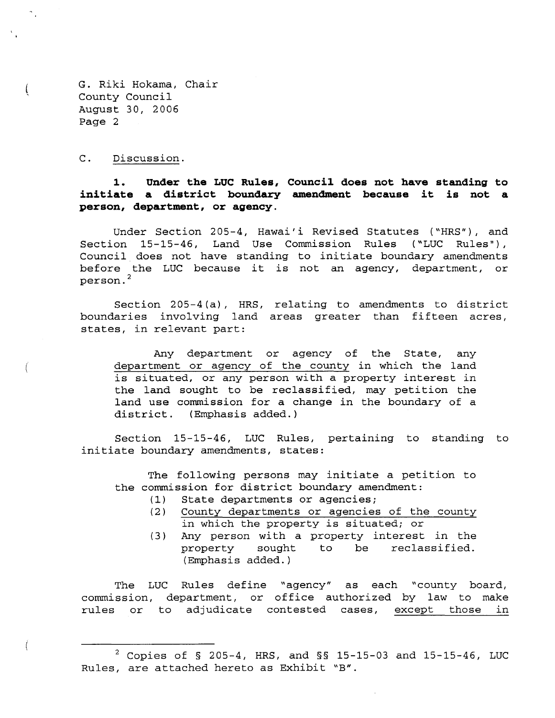C. Discussion.

 $\left($ 

**1. Under the LUC Rules, Council does not have standing to initiate a district boundary amendment because it is not a person, department, or agency.** 

Under Section 205-4, Hawai'i Revised Statutes ("HRS"), and Section 15-15-46, Land Use Commission Rules ("LUC Rules"), Council does not have standing to initiate boundary amendments before the LUC because it is not an agency, department, or person. <sup>2</sup>

Section 205-4(a), HRS, relating to amendments to district boundaries involving land areas greater than fifteen acres, states, in relevant part:

Any department or agency of the State, any department or agency of the county in which the land is situated, or any person with a property interest in the land sought to be reclassified, may petition the land use commission for a change in the boundary of a district. (Emphasis added.)

Section 15-15-46, LUC Rules, pertaining to standing to initiate boundary amendments, states:

The following persons may initiate a petition to the commission for district boundary amendment:

- (1) State departments or agencies;<br>(2) County departments or agencies
- County departments or agencies of the county in which the property is situated; or
- (3) Any person with a property interest in the property sought to be reclassified. (Emphasis added.)

The LUC Rules define "agency" as each "county board, commission, department, or office authorized by law to make rules or to adjudicate contested cases, except those in

<sup>2</sup> Copies of § 205-4, HRS, and §§ 15-15-03 and 15-15-46, LUC Rules, are attached hereto as Exhibit "B".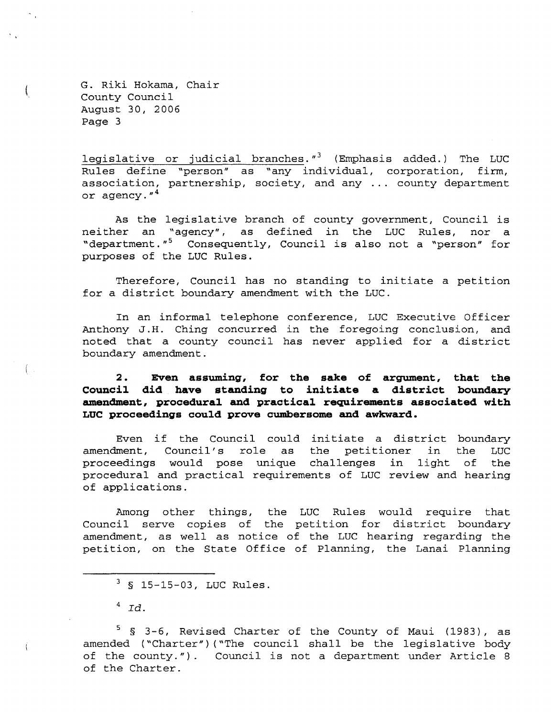$\left($ 

legislative or judicial branches. $\sqrt{s}$  (Emphasis added.) The LUC Rules define "person" as "any individual, corporation, firm, association, partnership, society, and any ... county department or agency."<sup>4</sup>

As the legislative branch of county government, Council is neither an "agency", as defined in the LUC Rules, nor a "department."<sup>5</sup> Consequently, Council is also not a "person" for purposes of the LUC Rules.

Therefore, Council has no standing to initiate a petition for a district boundary amendment with the LUC.

In an informal telephone conference, LUC Executive Officer Anthony J.H. Ching concurred in the foregoing conclusion, and noted that a county council has never applied for a district boundary amendment.

**2. Even assuming, for the sake of argument, that the Council did have standing to initiate a district boundary amendment, procedural and practical requirements associated with LUC proceedings could prove cumbersome and awkward.** 

Even if the Council could initiate a district boundary<br>Iment, Council's role as the petitioner in the LUC amendment, Council's role as proceedings would pose unique challenges in light of the procedural and practical requirements of LUC review and hearing of applications.

Among other things, the LUC Rules would require that Council serve copies of the petition for district boundary amendment, as well as notice of the LUC hearing regarding the petition, on the State Office of Planning, the Lanai Planning

 $3$  § 15-15-03, LUC Rules.

 $^4$  Id.

<sup>5 § 3-6,</sup> Revised Charter of the County of Maui (1983), as amended ("Charter") ("The council shall be the legislative body of the county.") Council is not a department under Article 8 of the Charter.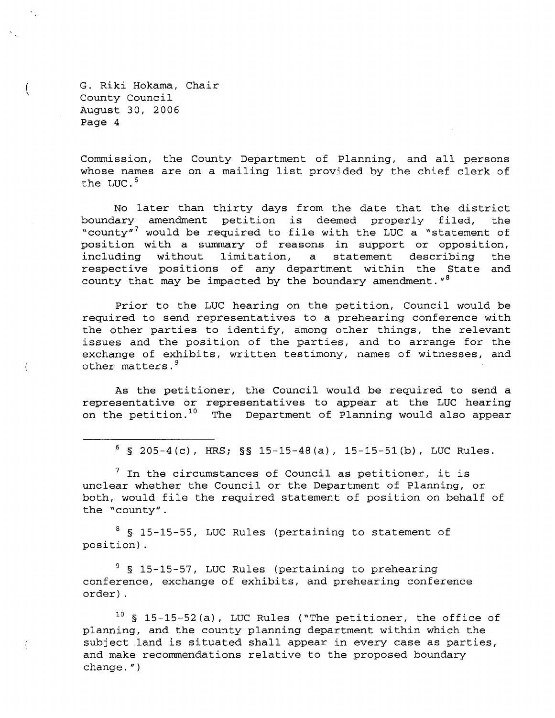$\left($ 

Commission, the County Department of Planning, and all persons whose names are on a mailing list provided by the chief clerk of the LUC. <sup>6</sup>

No later than thirty days from the date that the district boundary amendment petition is deemed properly filed, the "county"<sup>7</sup> would be required to file with the LUC a "statement of position with a summary of reasons in support or opposition, including without limitation, a statement describing the respective positions of any department within the State and county that may be impacted by the boundary amendment.  $18$ 

Prior to the LUC hearing on the petition, Council would be required to send representatives to a prehearing conference with the other parties to identify, among other things, the relevant issues and the position of the parties, and to arrange for the exchange of exhibits, written testimony, names of witnesses, and other matters.<sup>9</sup>

As the petitioner, the Council would be required to send a representative or representatives to appear at the LUC hearing on the petition.<sup>10</sup> The Department of Planning would also appear

 $6$  § 205-4(c), HRS; §§ 15-15-48(a), 15-15-51(b), LUC Rules.

 $^7$  In the circumstances of Council as petitioner, it is unclear whether the Council or the Department of Planning, or both, would file the required statement of position on behalf of the "county".

 $8$  § 15-15-55, LUC Rules (pertaining to statement of position).

<sup>9</sup> § 15-15-57, LUC Rules (pertaining to prehearing conference, exchange of exhibits, and prehearing conference order) .

 $10$  § 15-15-52(a), LUC Rules ("The petitioner, the office of planning, and the county planning department within which the subject land is situated shall appear in every case as parties, and make recommendations relative to the proposed boundary change. ")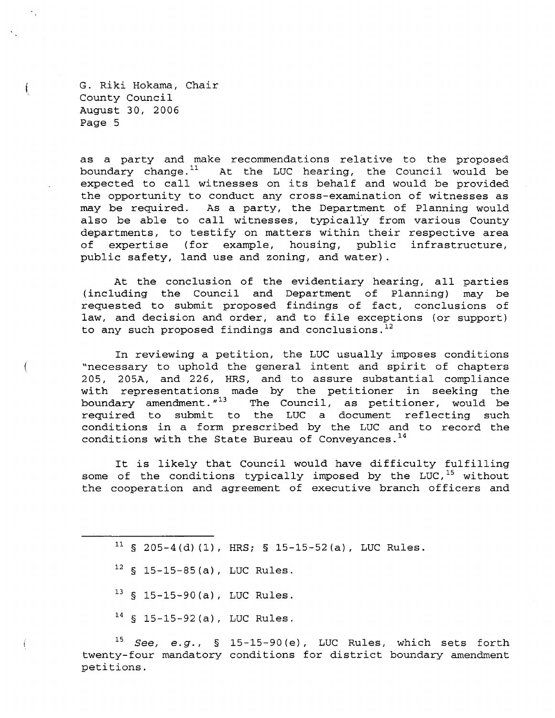Í

 $\left($ 

as a party and make recommendations relative to the proposed boundary change. $11$  At the LUC hearing, the Council would be expected to call witnesses on its behalf and would be provided the opportunity to conduct any cross-examination of witnesses as may be required. As a party, the Department of Planning would also be able to call witnesses, typically from various County departments, to testify on matters within their respective area<br>of expertise (for example, housing, public infrastructure, of expertise (for example, public safety, land use and zoning, and water) .

At the conclusion of the evidentiary hearing, all parties (including the Council and Department of Planning) may be requested to submit proposed findings of fact, conclusions of law, and decision and order, and to file exceptions (or support) to any such proposed findings and conclusions. $^{12}$ 

In reviewing a petition, the LUC usually imposes conditions "necessary to uphold the general intent and spirit of chapters 205, 205A, and 226, HRS, and to assure substantial compliance with representations made by the petitioner in seeking the boundary amendment.  $n^{13}$  The Council, as petitioner, would be required to submit to the LUC a document reflecting such conditions in a form prescribed by the LUC and to record the conditions with the State Bureau of Conveyances.<sup>14</sup>

It is likely that Council would have difficulty fulfilling some of the conditions typically imposed by the LUC,  $15$  without the cooperation and agreement of executive branch officers and

- $11$  § 205-4(d)(1), HRS; § 15-15-52(a), LUC Rules.
- $12$  § 15-15-85(a), LUC Rules.
- $13$  § 15-15-90(a), LUC Rules.
- $14$  § 15-15-92(a), LUC Rules.

*<sup>15</sup>*See, e.g., § 15-15-90{e), LUC Rules, which sets forth twenty-four mandatory conditions for district boundary amendment petitions.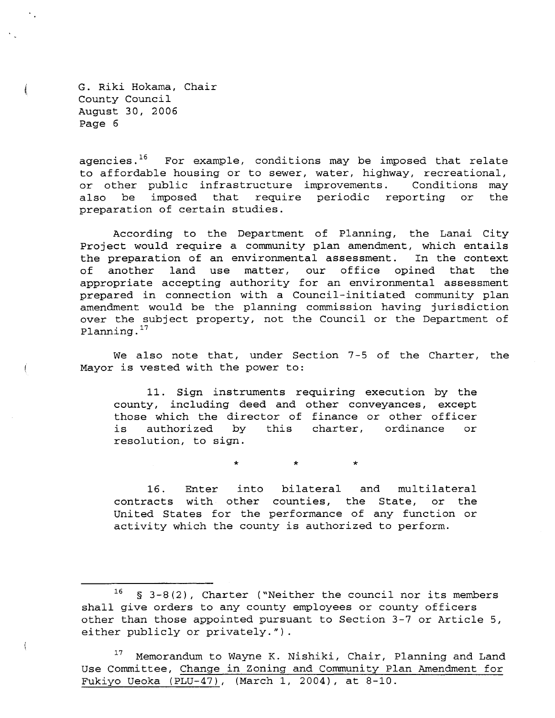ĺ

 $\sqrt{ }$ 

f.

agencies.<sup>16</sup> For example, conditions may be imposed that relate to affordable housing or to sewer, water, highway, recreational,<br>or other public infrastructure improvements. Conditions may or other public infrastructure improvements. also be imposed that require periodic reporting or the preparation of certain studies.

According to the Department of Planning, the Lanai City Project would require a community plan amendment, which entails the preparation of an environmental assessment. In the context of another land use matter, our office opined that the appropriate accepting authority for an environmental assessment prepared in connection with a Council-initiated community plan amendment would be the planning commission having jurisdiction over the subject property, not the Council or the Department of Planning. 17

We also note that, under Section 7-5 of the Charter, the Mayor is vested with the power to:

11. Sign instruments requiring execution by the county, including deed and other conveyances, except those which the director of finance or other officer is authorized by this charter, ordinance or resolution, to sign.

\* \* \*

16. Enter into bilateral and multilateral contracts with other counties, the State, or the Uni ted States for the performance of any function or activity which the county is authorized to perform.

 $16$  § 3-8(2), Charter ("Neither the council nor its members shall give orders to any county employees or county officers other than those appointed pursuant to Section 3-7 or Article 5, either publicly or privately.").

<sup>&</sup>lt;sup>17</sup> Memorandum to Wayne K. Nishiki, Chair, Planning and Land Use Committee, Change in Zoning and Community Plan Amendment for Fukiyo Ueoka (PLU-47), (March 1, 2004), at 8-10.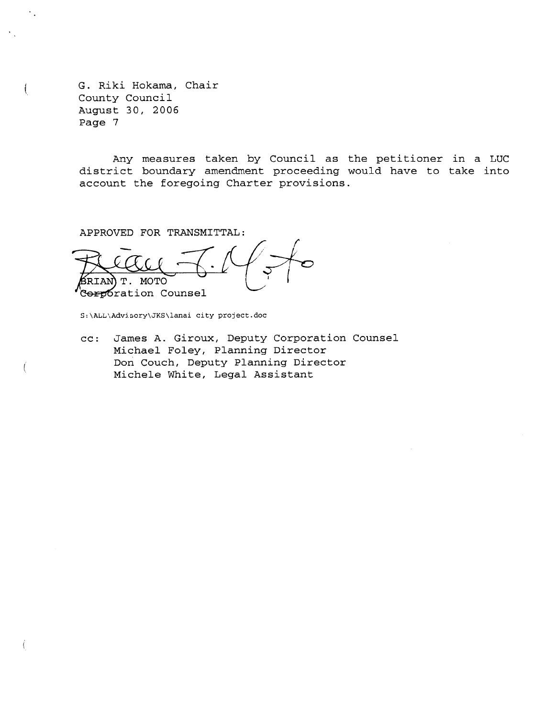$\ddagger$ 

Any measures taken by Council as the petitioner in a LUC district boundary amendment proceeding would have to take into account the foregoing Charter provisions.

APPROVED FOR TRANSMITTAL:

RIAN)T. MOTO Serporation Counsel

S:\ALL\Advisory\JKS\lanai city project.doc

cc: James A. Giroux, Deputy Corporation Counsel Michael Foley, Planning Director Don Couch, Deputy Planning Director Michele White, Legal Assistant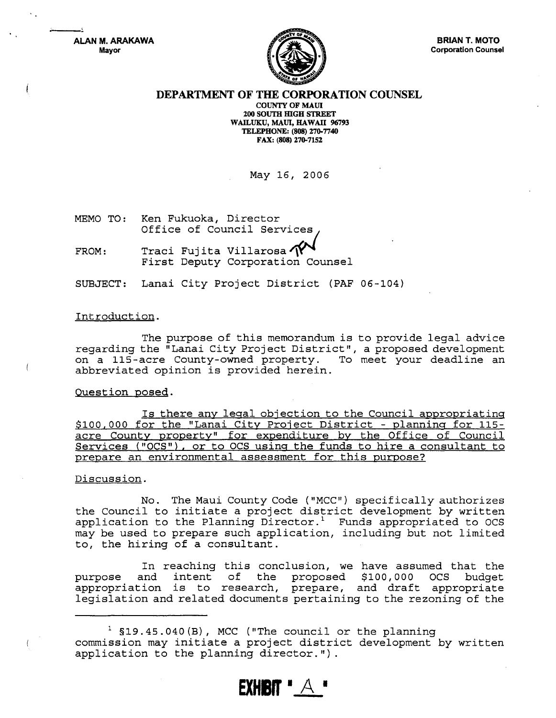ALAN M. ARAKAWA Mayor



#### DEPARTMENT OF THE CORPORATION COUNSEL

COUNTY OF MAUl 200 SOUTH mGH STREET WAILUKU, MAUl, HAWAII 96793 TELEPHONE: (808) 270-7740 FAX: (808) 270-7152

May 16, 2006

MEMO TO: Ken Fukuoka, Director Office of Council Services

FROM: Traci Fujita Villarosa<sup>7</sup> First Deputy Corporation Counsel

SUBJECT: Lanai City Project District (PAF 06-104)

#### Introduction.

The purpose of this memorandum is to provide legal advice regarding the "Lanai City Project District", a proposed development<br>on a 115-acre County-owned property. To meet your deadline an on a 115-acre County-owned property. abbreviated opinion is provided herein.

#### Question posed.

Is there any legal objection to the Council appropriating \$100,000 for the "Lanai City Project District - planning for 115 acre County property" for expenditure by the Office of Council Services ("OCS"), or to OCS using the funds to hire a consultant to prepare an environmental assessment for this purpose?

#### Discussion.

No. The Maui County Code ("MCC") specifically authorizes the Council to initiate a project district development by written application to the Planning Director.<sup>1</sup> Funds appropriated to OCS may be used to prepare such application, including but not limited to, the hiring of a consultant.

In reaching this conclusion, we have assumed that the<br>and intent of the proposed \$100,000 OCS budget purpose and intent of the proposed  $$100,000$ appropriation is to research, prepare, and draft appropriate legislation and related documents pertaining to the rezoning of the

**EXHRIT "**  $\forall$ 

 $1$  \$19.45.040 (B), MCC ("The council or the planning commission may initiate a project district development by written application to the planning director.").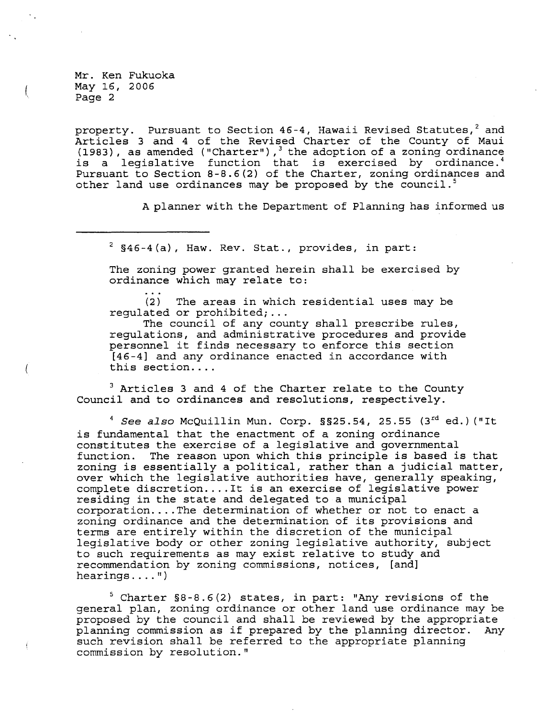Mr. Ken Fukuoka May 16, 2006 Page 2

l

property. Pursuant to Section  $46-4$ , Hawaii Revised Statutes,<sup>2</sup> and Articles 3 and 4 of the Revised Charter of the County of Maui (1983), as amended ("Charter"), 3 the adoption of a zoning ordinance is a legislative function that is exercised by ordinance.<sup>4</sup> Pursuant to Section 8-8.6(2) of the Charter, zoning ordinances and other land use ordinances may be proposed by the council.<sup>5</sup>

A planner with the Department of Planning has informed us

 $2$  §46-4(a), Haw. Rev. Stat., provides, in part:

The zoning power granted herein shall be exercised by ordinance which may relate to:

(2) The areas in which residential uses may be regulated or prohibited; ...

The council of any county shall prescribe rules, regulations, and administrative procedures and provide personnel it finds necessary to enforce this section [46-4] and any ordinance enacted in accordance with this section....

 $3$  Articles 3 and 4 of the Charter relate to the County Council and to ordinances and resolutions, respectively.

<sup>4</sup> See also McQuillin Mun. Corp. §§25.54, 25.55 (3<sup>rd</sup> ed.) ("It is fundamental that the enactment of a zoning ordinance constitutes the exercise of a legislative and governmental function. The reason upon which this principle is based is that zoning is essentially a political, rather than a judicial matter, over which the legislative authorities have, generally speaking, complete discretion .... It is an exercise of legislative power residing in the state and delegated to a municipal corporation .... The determination of whether or not to enact a zoning ordinance and the determination of its provisions and terms are entirely within the discretion of the municipal legislative body or other zoning legislative authority, subject to such requirements as may exist relative to study and recommendation by zoning commissions, notices, [and] hearings.... $")$ 

5 Charter §8-8.6(2) states, in part: "Any revisions of the general plan, zoning ordinance or other land use ordinance may be proposed by the council and shall be reviewed by the appropriate planning commission as if prepared by the planning director. Any such revision shall be referred to the appropriate planning commission by resolution."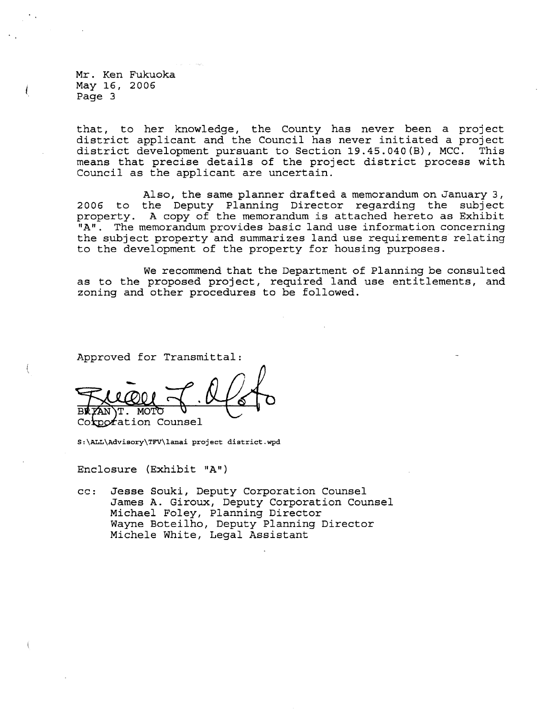Mr. Ken Fukuoka May 16, 2006 Page 3

that, to her knowledge, the County has never been a project district applicant and the Council has never initiated a project district development pursuant to Section 19.45.040(B), MCC. This means that precise details of the project district process with Council as the applicant are uncertain.

Also, the same planner drafted a memorandum on January 3, 2006 to the Deputy Planning Director regarding the subject property. A copy of the memorandum is attached hereto as Exhibit "A". The memorandum provides basic land use information concerning the subject property and summarizes land use requirements relating to the development of the property for housing purposes.

We recommend that the Department of Planning be consulted as to the proposed project, required land use entitlements, and zoning and other procedures to be followed.

Approved for Transmittal:

Corporation Counsel

S:\ALL\Advisory\TFV\lanai project district.wpd

Enclosure (Exhibit "A")

cc: Jesse Souki, Deputy Corporation Counsel James A. Giroux, Deputy Corporation Counsel Michael Foley, Planning Director Wayne Boteilho, Deputy Planning Director Michele White, Legal Assistant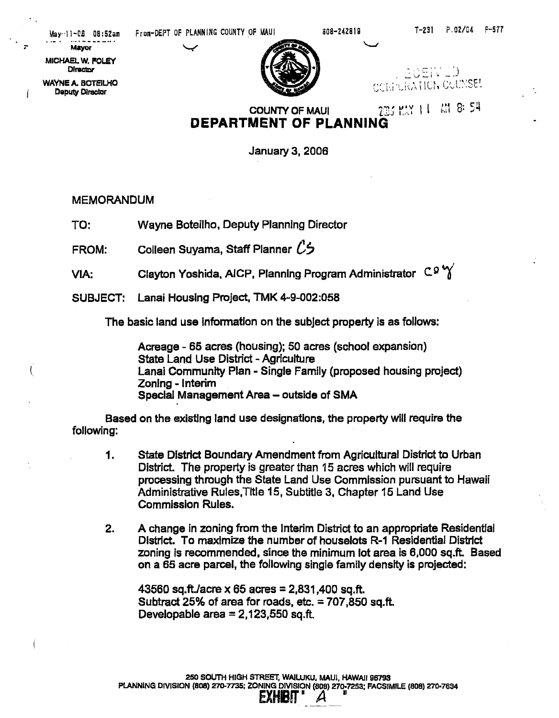MICHAEL W. FOLEY



DINSCONT DIRECTOR<br>
WAYNE A. BOTEILHO WAYNE A. BOTEIUiO ,.,' ", '., ~ \ ' .~. \' 'I . \ ".! c: c: I , ~ ", .• :.1\,:.. \ ~l.i1 . ..; ....... , t,-,I\_- Deputy Director .J .... I,I "

> COUNTY OF MAUI  $75.64 \times 11.418 \times 54.$ **DEPARTMENT OF PLANNING**

> > January 3, 2006

MEMORANDUM

TO: Wayne Boteilho, Deputy Planning Director

FROM: Colleen Suyama, Staff Planner *C* 7

VIA: Clayton Yoshida, AICP, Planning Program Administrator  $C_9'$ 

SUBJECT: Lanai Housing Project, TMK 4-9-002:058

The basic land use information on the subject property is as follows:

Acreage - 65 acres (housing); 50 acres (school expansion) state Land Use District - Agriculture Lanai Community Plan - Single Family (proposed housing projed) Zoning - Interim Special Management Area - outside of SMA

Based on the existing land use designations, the property will require the following:

- 1. State District Boundary Amendment from Agricultural District to Urban District. The property is greater than 15 acres which will require processing through the State Land Use Commission pursuant to Hawaii Administrative Rules,Title 15, Subtitle 3, Chapter 15 Land Use Commission Rules.
- 2. A change in zoning from the Interim District to an appropriate Residential District. To maximize the number of houselots R-1 Residential District zoning is recommended. since the minimum lot area is 6,000 sq.ft. Based on a 65 acre parcel, the following single family density is projected:

*<sup>43560</sup>*sq.ft.lacre X 65 acres = 2,831,400 sq.ft. Subtract 25% of area for roads, etc.  $= 707.850$  sq.ft. Developable area  $= 2,123,550$  sq.ft.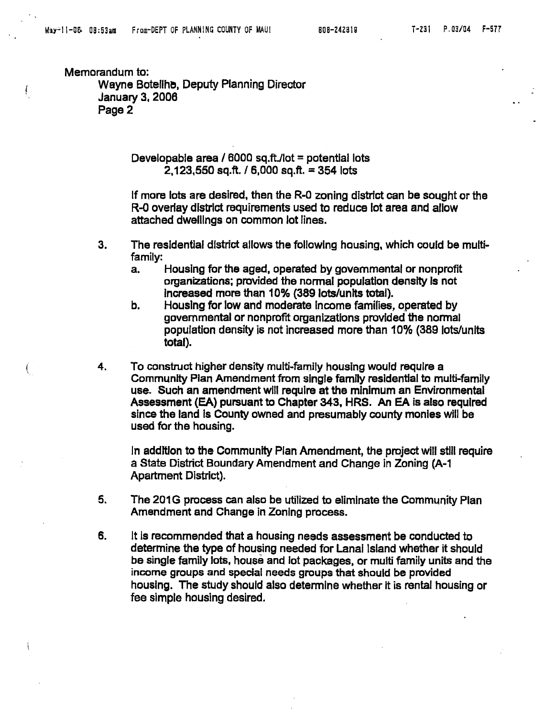$\int\limits_{\mathbb{R}^{3}}$ 

€

Memorandum to: Wayne Botellhe. Deputy Planning Director January 3. 2006 Page 2

> Developable area /  $6000$  sq.ft./lot = potential lots  $2.123.550$  sq.ft. / 6.000 sq.ft. = 354 lots

If more lots are desired, then the R-O zoning district can be sought or the R-D overlay district requirements used to reduce lot area and allow attached dwellings on common lot lines.

- 3. The residential district allows the following housing. which could be multifamily:
	- a. Housing for the aged. operated by govemmental or nonprofit organizations; provided the normal population density is not Increased more than 10% (389 lots/units total).
	- b. Housing for low and moderate Income families, operated by govemmental or nonprofit organizations provided the normal population density is not increased more than 10% (389 lots/units total).
- 4. To construct higher density multi-family housing would require a Community Plan Amendment from single family residential to multi-family use. Such an amendment will require at the minimum an Environmental Assessment (EA) pursuant to Chapter 343, HRS. An EA is also required since the land Is County owned and presumably county monies will be used for the housing.

In addition to the Community Plan Amendment, the project will still require a State District Boundary Amendment and Change in Zoning (A-1 Apartment District).

- 5. The 201G process can also be utilized to eliminate the Community Plan Amendment and Change in Zoning process.
- 6. It Is recommended that a housing needs assessment be conducted to determine the type of housing needed for lanai Island whether it should be single family lots, house and lot packages. or multi family units and the income groups and special needs groups that should be provided housing. The study should also detennlne whether it is rental housing or fee simple housing desired.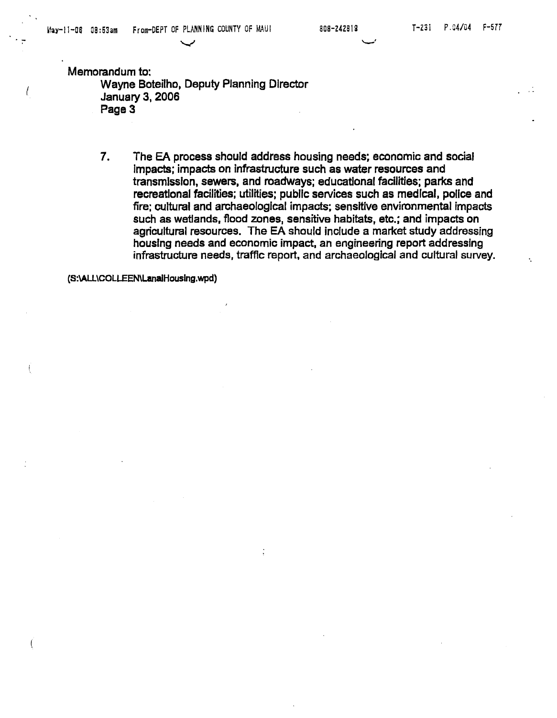"'--'

Memorandum to:

 $\left\{ \right.$ 

Wayne Boteilho, Deputy Planning Director January 3, 2006 Page 3

~

7. The EA process should address housing needs; economic and social Impacts; impacts on infrastructure such as water resources and transmission, sewers, and roadways; educational facilities; parks and recreational facilities; utilities; public services such as medical, police and fire; cultural and archaeological impacts; sensitive environmental impacts such as wetlands, flood zones, sensitive habitats, etc.; and impacts on agricultural resources. The EA should include a market study addressing housing needs and economic impact, an engineering report addressing infrastructure needs, traffic report, and archaeological and cultural survey.

(s:\AU\COLLEEN\LanaiHouslng.wpd)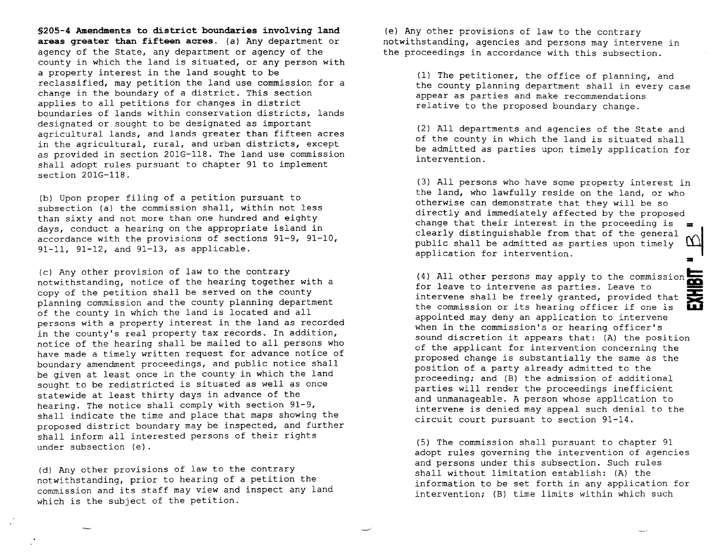**§205-4 Amendments to district boundaries involving land**  areas greater than fifteen acres. (a) Any department or agency of the State, any department or agency of the county in which the land is situated, or any person with a property interest in the land sought to be reclassified, may petition the land use commissior. for a change in the boundary of a district. This section applies to all petitions for changes in district boundaries of lands within conservation districts, lands designated or sought to be designated as important agricultural lands, and lands greater than fifteen acres in the agricultural, rural, and urban districts, except as provided in section 201G-118. The land use commission shall adopt rules pursuant to chapter 91 to implement section 201G-118.

(b) Upon proper filing of a petition pursuant to subsection (a) the commission shall, within not less than sixty and not more than one hundred and eighty days, conduct a hearing on the appropriate island in accordance with the provisions of sections 91-9, 91-10, 91-11, 91-12, and 91-13, as applicable.

(c) Any other provision of law to the contrary notwithstanding, notice of the hearing together with a copy of the petition shall be served on the county planning commission and the county planning department of the county in which the land is located and all persons with a property interest in the land as recorded in the county's real property tax records. In addition, notice of the hearing shall be mailed to all persons who have made a timely written request for advance notice of boundary amendment proceedings, and public notice shall be given at least once in the county in which the land sought to be redistricted is situated as well as once statewide at least thirty days in advance of the hearing. The notice shall comply with section 91-9, shall indicate the time and place that maps showing the proposed district boundary may be inspected, and further shall inform all interested persons of their rights under subsection (e).

(d) Any other provisions of law to the contrary notwithstanding, prior to hearing of a petition the commission and its staff may view and inspect any land which is the subject of the petition.

(e) Any other provisions of law to the contrary notwithstanding, agencies and persons may intervene in the proceedings in accordance with this subsection.

> (1) The petitioner, the office of planning, and the county planning department shall in every case appear as parties and make recommendations relative to the proposed boundary change.

> (2) All departments and agencies of the State and of the county in which the land is situated shall be admitted as parties upon timely application for intervention.

> (3) All persons who have some property interest in the land, who lawfully reside on the land, or who otherwise can demonstrate that they will be so directly and immediately affected by the proposed change that their interest in the proceeding is  $\equiv$ clearly distinguishable from that of the general public shall be admitted as parties upon timely application for intervention.

(4) All other persons may apply to the commission<br>for leave to intervene as parties. Leave to<br>intervene shall be freely granted, provided that<br>the commission or its hearing officer if one is for leave to intervene as parties. Leave to intervene shall be freely granted, provided that the commission or its hearing officer if one is appointed may deny an application to intervene when in the commission's or hearing officer's sound discretion it appears that: (A) the position of the applicant for intervention concerning the proposed change is substantially the same as the position of a party already admitted to the proceeding; and (B) the admission of additional parties will render the proceedings inefficient and unmanageable. A person whose application to intervene is denied may appeal such denial to the circuit court pursuant to section 91-14.

(5) The commission shall pursuant to chapter 91 adopt rules governing the intervention of agencies and persons under this subsection. Such rules shall without limitation establish: (A) the information to be set forth in any application for intervention; (B) time limits within which such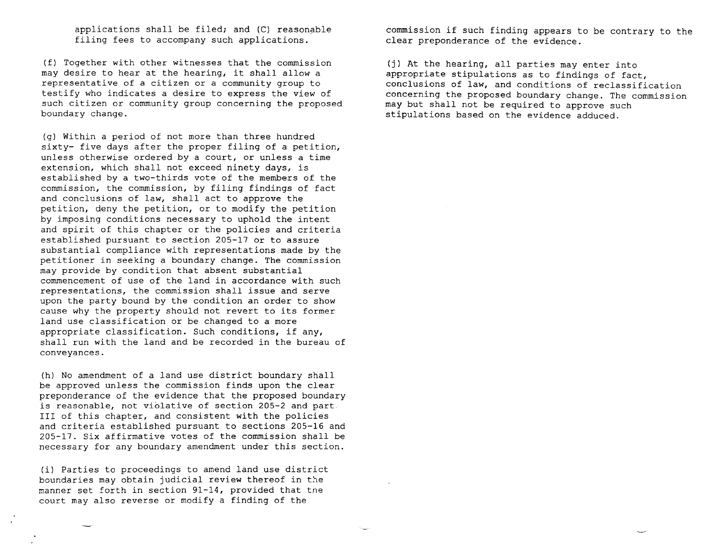applications shall be filed; and  $(C)$  reasonable filing fees to accompany such applications.

(f) Together with other witnesses that the commission may desire to hear at the hearing, it shall allow a representative of a citizen or a community group to testify who indicates a desire to express the view of such citizen or community group concerning the proposed boundary change.

(gl Within a period of not more than three hundred sixty- five days after the proper filing of a petition, unless otherwise ordered by a court, or unless a time extension, which shall not exceed ninety days, is established by a two-thirds vote of the members of the commission, the commission, by filing findings of fact and conclusions of law, shall act to approve the petition, deny the petition, or to modify the petition by imposing conditions necessary to uphold the intent and spirit of this chapter or the policies and criteria established pursuant to section 205-17 or to assure substantial compliance with representations made by the petitioner in seeking a boundary change. The commission may provide by condition that absent substantial commencement of use of the land in accordance with such representations, the commission shall issue and serve upon the party bound by the condition an order to show cause why the property should not revert to its former land use classification or be changed to a more appropriate classification. Such conditions, if any, shall run with the land and be recorded in the bureau of conveyances.

(h) No amendment of a land use district boundary shall be approved unless the commission finds upon the clear preponderance of the evidence that the proposed boundary is reasonable, not violative of section 205-2 and part III of this chapter, and consistent with the policies and criteria established pursuant to sections 205-16 and 205-17. Six affirmative votes of the commission shall be necessary for any boundary amendment under this section.

(il Parties to proceedings to amend land use district boundaries may obtain judicial review thereof in the manner set forth in section 91-14, provided that tne court may also reverse or modify a finding of the

commission if such finding appears to be contrary to the clear preponderance of the evidence.

(i) At the hearing, all parties may enter into appropriate stipulations as to findings of fact, conclusions of law, and conditions of reclassification concerning the proposed boundary change. The commission may but shall not be required to approve such stipulations based on the evidence adduced.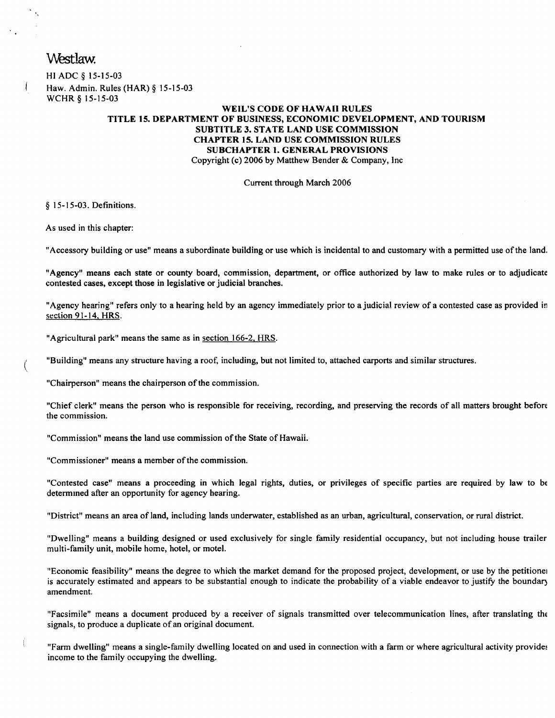## Westlaw.

 $\mathcal{L}_{\mathcal{A}_k}$ 

I

HI ADC § 15-15-03 Haw. Admin. Rules (HAR) § 15-15-03 WCHR § 15-15-03

#### WElL'S CODE OF HAWAII RULES TITLE 15. DEPARTMENT OF BUSINESS, ECONOMIC DEVELOPMENT, AND TOURISM SUBTITLE 3. STATE LAND USE COMMISSION CHAPTER 15. LAND USE COMMISSION RULES SUBCHAPTER 1. GENERAL PROVISIONS Copyright (c) 2006 by Matthew Bender & Company, Inc

Current through March 2006

§ 15-15-03. Definitions.

As used in this chapter:

(

"Accessory building or use" means a subordinate building or use which is incidental to and customary with a permitted use of the land.

"Agency" means each state or county board, commission, department, or office authorized by law to make rules or to adjudicate contested cases, except those in legislative or judicial branches.

"Agency hearing" refers only to a hearing held by an agency immediately prior to a judicial review of a contested case as provided in section 91-14, HRS.

"Agricultural park" means the same as in section 166-2, HRS.

"Building" means any structure having a roof, including, but not limited to, attached carports and similar structures.

"Chairperson" means the chairperson of the commission.

"Chief clerk" means the person who is responsible for receiving, recording, and preserving the records of all matters brought before the commission.

"Commission" means the land use commission of the State of Hawaii.

"Commissioner" means a member of the commission.

"Contested case" means a proceeding in which legal rights, duties, or privileges of specific parties are required by law to bf determmed after an opportunity for agency hearing.

"District" means an area of land, including lands underwater, established as an urban, agricultural, conservation, or rural district.

"Dwelling" means a building designed or used exclusively for single family residential occupancy, but not including house trailer multi-family unit, mobile home, hotel, or motel.

"Economic feasibility" means the degree to which the market demand for the proposed project, development, or use by the petitionel is accurately estimated and appears to be substantial enough to indicate the probability of a viable endeavor to justify the boundary amendment.

"Facsimile" means a document produced by a receiver of signals transmitted over telecommunication lines, after translating the signals, to produce a duplicate of an original document.

"Farm dwelling" means a single-family dwelling located on and used in connection with a farm or where agricultural activity provides income to the family occupying the dwelling.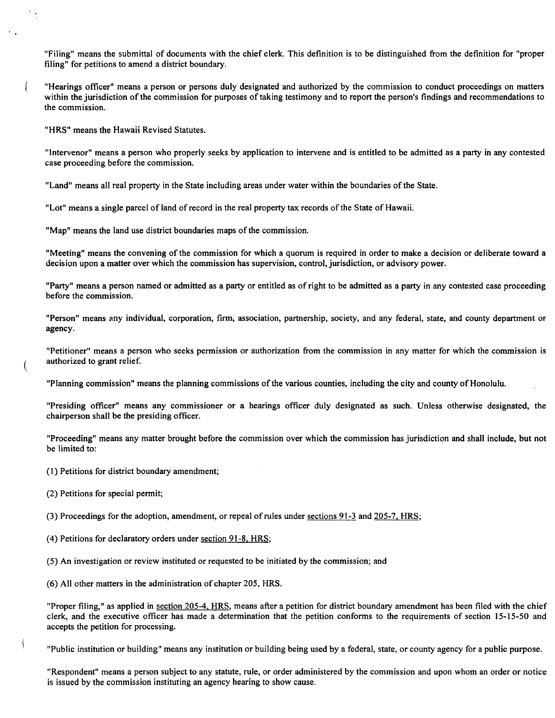"Filing" means the submittal of documents with the chief clerk. This definition is to be distinguished from the definition for "proper filing" for petitions to amend a district boundary.

"Hearings officer" means a person or persons duly designated and authorized by the commission to conduct proceedings on matters within the jurisdiction of the commission for purposes of taking testimony and to report the person's findings and recommendations to the commission.

"HRS" means the Hawaii Revised Statutes.

 $\frac{1}{2}$ 

 $\overline{\mathfrak{l}}$ 

"Intervenor" means a person who properly seeks by application to intervene and is entitled to be admitted as a party in any contested case proceeding before the commission.

"Land" means all real property in the State including areas under water within the boundaries of the State.

"Lot" means a single parcel of land of record in the real property tax records of the State of Hawaii.

"Map" means the land use district boundaries maps of the commission.

"Meeting" means the convening of the commission for which a quorum is required in order to make a decision or deliberate toward a decision upon a matter over which the commission has supervision, control, jurisdiction, or advisory power.

"Party" means a person named or admitted as a party or entitled as of right to be admitted as a party in any contested case proceeding before the commission.

"Person" means any individual, corporation, firm, association, partnership, society, and any federal, state, and county department or agency.

"Petitioner" means a person who seeks permission or authorization from the commission in any matter for which the commission is ( authorized to grant relief.

"Planning commission" means the planning commissions of the various counties, including the city and county of Honolulu.

"Presiding officer" means any commissioner or a hearings officer duly designated as such. Unless otherwise designated, the chairperson shall be the presiding officer.

"Proceeding" means any matter brought before the commission over which the commission has jurisdiction and shall include, but not be limited to:

( I) Petitions for district boundary amendment;

(2) Petitions for special permit;

(3) Proceedings for the adoption, amendment, or repeal of rules under sections 91-3 and 205-7, HRS;

- (4) Petitions for declaratory orders under section 91-8, HRS;
- (5) An investigation or review instituted or requested to be initiated by the commission; and

(6) All other matters in the administration of chapter 205, HRS.

"Proper filing," as applied in section 205-4, HRS, means after a petition for district boundary amendment has been filed with the chief clerk, and the executive officer has made a determination that the petition conforms to the requirements of section 15-15-50 and accepts the petition for processing.

"Public institution or building" means any institution or building being used by a federal, state, or county agency for a public purpose.

"Respondent" means a person subject to any statute, rule, or order administered by the commission and upon whom an order or notice is issued by the commission instituting an agency hearing to show cause.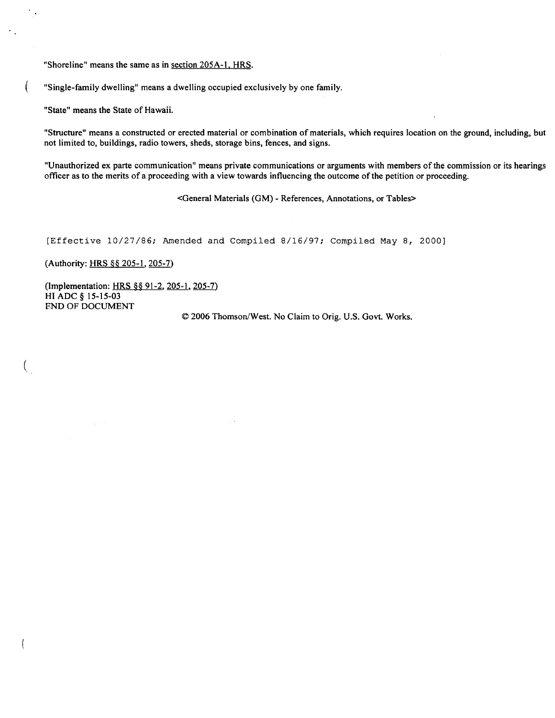"Shoreline" means the same as in section 205A-1, HRS.

"Single-family dwelling" means a dwelling occupied exclusively by one family.

"State" means the State of Hawaii.

"Structure" means a constructed or erected material or combination of materials, which requires location on the ground, including, but not limited to, buildings, radio towers, sheds, storage bins, fences, and signs.

"Unauthorized ex parte communication" means private communications or arguments with members of the commission or its hearings officer as to the merits of a proceeding with a view towards influencing the outcome of the petition or proceeding.

<General Materials (GM) - References, Annotations, or Tables>

[Effective 10/27/86; Amended and Compiled 8/16/97; Compiled May 8, 2000]

(Authority: HRS §§ 205-1, 205-7)

 $\left($ 

**ANGEL** 

(Implementation: HRS §§ 91-2, 205-1, 205-7) **HI** ADC § 15-15-03 END OF DOCUMENT

© 2006 Thomson/West. No Claim to Orig. U.S. Govt. Works.